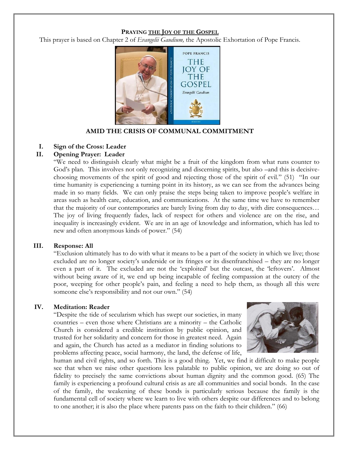#### **PRAYING THE JOY OF THE GOSPEL**

This prayer is based on Chapter 2 of *Evangelii Gaudium,* the Apostolic Exhortation of Pope Francis.



**AMID THE CRISIS OF COMMUNAL COMMITMENT**

## **I. Sign of the Cross: Leader**

## **II. Opening Prayer: Leader**

"We need to distinguish clearly what might be a fruit of the kingdom from what runs counter to God's plan. This involves not only recognizing and discerning spirits, but also –and this is decisivechoosing movements of the spirit of good and rejecting those of the spirit of evil." (51) "In our time humanity is experiencing a turning point in its history, as we can see from the advances being made in so many fields. We can only praise the steps being taken to improve people's welfare in areas such as health care, education, and communications. At the same time we have to remember that the majority of our contemporaries are barely living from day to day, with dire consequences… The joy of living frequently fades, lack of respect for others and violence are on the rise, and inequality is increasingly evident. We are in an age of knowledge and information, which has led to new and often anonymous kinds of power." (54)

#### **III. Response: All**

"Exclusion ultimately has to do with what it means to be a part of the society in which we live; those excluded are no longer society's underside or its fringes or its disenfranchised – they are no longer even a part of it. The excluded are not the 'exploited' but the outcast, the 'leftovers'. Almost without being aware of it, we end up being incapable of feeling compassion at the outcry of the poor, weeping for other people's pain, and feeling a need to help them, as though all this were someone else's responsibility and not our own." (54)

## **IV. Meditation: Reader**

"Despite the tide of secularism which has swept our societies, in many countries – even those where Christians are a minority – the Catholic Church is considered a credible institution by public opinion, and trusted for her solidarity and concern for those in greatest need. Again and again, the Church has acted as a mediator in finding solutions to problems affecting peace, social harmony, the land, the defense of life,



human and civil rights, and so forth. This is a good thing. Yet, we find it difficult to make people see that when we raise other questions less palatable to public opinion, we are doing so out of fidelity to precisely the same convictions about human dignity and the common good. (65) The family is experiencing a profound cultural crisis as are all communities and social bonds. In the case of the family, the weakening of these bonds is particularly serious because the family is the fundamental cell of society where we learn to live with others despite our differences and to belong to one another; it is also the place where parents pass on the faith to their children." (66)